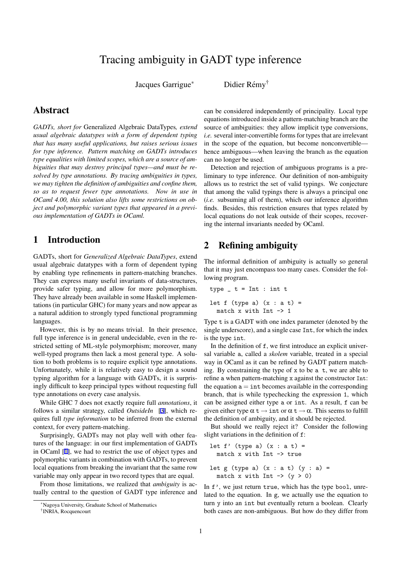# Tracing ambiguity in GADT type inference

Jacques Garrigue<sup>\*</sup>

Didier Rémy<sup>†</sup>

## <span id="page-0-0"></span>Abstract

*GADTs, short for* Generalized Algebraic DataTypes*, extend usual algebraic datatypes with a form of dependent typing that has many useful applications, but raises serious issues for type inference. Pattern matching on GADTs introduces type equalities with limited scopes, which are a source of ambiguities that may destroy principal types—and must be resolved by type annotations. By tracing ambiguities in types, we may tighten the definition of ambiguities and confine them, so as to request fewer type annotations. Now in use in OCaml 4.00, this solution also lifts some restrictions on object and polymorphic variant types that appeared in a previous implementation of GADTs in OCaml.*

#### 1 Introduction

GADTs, short for *Generalized Algebraic DataTypes*, extend usual algebraic datatypes with a form of dependent typing by enabling type refinements in pattern-matching branches. They can express many useful invariants of data-structures, provide safer typing, and allow for more polymorphism. They have already been available in some Haskell implementations (in particular GHC) for many years and now appear as a natural addition to strongly typed functional programming languages.

However, this is by no means trivial. In their presence, full type inference is in general undecidable, even in the restricted setting of ML-style polymorphism; moreover, many well-typed programs then lack a most general type. A solution to both problems is to require explicit type annotations. Unfortunately, while it is relatively easy to design a sound typing algorithm for a language with GADTs, it is surprisingly difficult to keep principal types without requesting full type annotations on every case analysis.

While GHC 7 does not exactly require full *annotations*, it follows a similar strategy, called *OutsideIn* [3], which requires full *type information* to be inferred from the external context, for every pattern-matching.

Surprisingly, GADTs may not play well with other features of the language: in our first implementati[on](#page-1-0) of GADTs in OCaml [1], we had to restrict the use of object types and polymorphic variants in combination with GADTs, to prevent local equations from breaking the invariant that the same row variable may only appear in two record types that are equal.

From th[os](#page-1-0)e limitations, we realized that *ambiguity* is actually central to the question of GADT type inference and can be considered independently of principality. Local type equations introduced inside a pattern-matching branch are the source of ambiguities: they allow implicit type conversions, *i.e.* several inter-convertible forms for types that are irrelevant in the scope of the equation, but become nonconvertible hence ambiguous—when leaving the branch as the equation can no longer be used.

Detection and rejection of ambiguous programs is a preliminary to type inference. Our definition of non-ambiguity allows us to restrict the set of valid typings. We conjecture that among the valid typings there is always a principal one (*i.e.* subsuming all of them), which our inference algorithm finds. Besides, this restriction ensures that types related by local equations do not leak outside of their scopes, recovering the internal invariants needed by OCaml.

#### 2 Refining ambiguity

The informal definition of ambiguity is actually so general that it may just encompass too many cases. Consider the following program.

type \_ t = Int : int t  
let f (type a) 
$$
(x : a t) =
$$
  
match x with Int  $\rightarrow$  1

Type t is a GADT with one index parameter (denoted by the single underscore), and a single case Int, for which the index is the type int.

In the definition of f, we first introduce an explicit universal variable a, called a *skolem* variable, treated in a special way in OCaml as it can be refined by GADT pattern matching. By constraining the type of x to be a t, we are able to refine a when pattern-matching x against the constructor Int: the equation  $a = \text{int}$  becomes available in the corresponding branch, that is while typechecking the expression 1, which can be assigned either type a or int. As a result, f can be given either type  $\alpha \neq \beta$  int or  $\alpha \neq \alpha$ . This seems to fulfill the definition of ambiguity, and it should be rejected.

But should we really reject it? Consider the following slight variations in the definition of f:

```
let f' (type a) (x : a t) =match x with Int -> true
let g (type a) (x : a t) (y : a) =match x with Int \rightarrow (y > 0)
```
In f', we just return true, which has the type bool, unrelated to the equation. In g, we actually use the equation to turn y into an int but eventually return a boolean. Clearly both cases are non-ambiguous. But how do they differ from

*<sup>∗</sup>*Nagoya University, Graduate School of Mathematics

<sup>†</sup> INRIA, Rocquencourt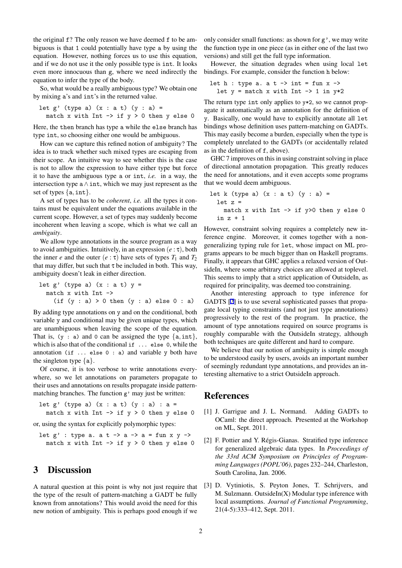<span id="page-1-0"></span>the original f? The only reason we have deemed f to be ambiguous is that 1 could potentially have type a by using the equation. However, nothing forces us to use this equation, and if we do not use it the only possible type is int. It looks even more innocuous than g, where we need indirectly the equation to infer the type of the body.

So, what would be a really ambiguous type? We obtain one by mixing a's and int's in the returned value.

let g' (type a) 
$$
(x : a t)
$$
  $(y : a) =$   
match x with Int  $\rightarrow$  if  $y > 0$  then y else 0

Here, the then branch has type a while the else branch has type int, so choosing either one would be ambiguous.

How can we capture this refined notion of ambiguity? The idea is to track whether such mixed types are escaping from their scope. An intuitive way to see whether this is the case is not to allow the expression to have either type but force it to have the ambiguous type a or int, *i.e.* in a way, the intersection type a*∧*int, which we may just represent as the set of types *{*a*,*int*}*.

A set of types has to be *coherent*, *i.e.* all the types it contains must be equivalent under the equations available in the current scope. However, a set of types may suddenly become incoherent when leaving a scope, which is what we call an *ambiguity*.

We allow type annotations in the source program as a way to avoid ambiguities. Intuitively, in an expression (*e* : τ), both the inner *e* and the outer  $(e:\tau)$  have sets of types  $T_1$  and  $T_2$ that may differ, but such that  $\tau$  be included in both. This way, ambiguity doesn't leak in either direction.

let g' (type a) 
$$
(x : a t) y =
$$

\nmatch x with Int  $\rightarrow$ 

\n(if (y : a) > 0 then (y : a) else 0 : a)

By adding type annotations on y and on the conditional, both variable y and conditional may be given unique types, which are unambiguous when leaving the scope of the equation. That is, (y : a) and 0 can be assigned the type *{*a*,*int*}*, which is also that of the conditional if ... else 0, while the annotation (if ... else 0 : a) and variable y both have the singleton type *{*a*}*.

Of course, it is too verbose to write annotations everywhere, so we let annotations on parameters propagate to their uses and annotations on results propagate inside patternmatching branches. The function g' may just be written:

let  $g'$  (type a)  $(x : a t)$   $(y : a) : a =$ match x with Int  $\rightarrow$  if  $y > 0$  then y else 0

or, using the syntax for explicitly polymorphic types:

let  $g'$  : type a. a t -> a -> a = fun x y -> match x with Int  $\rightarrow$  if  $y > 0$  then y else 0

## 3 Discussion

A natural question at this point is why not just require that the type of the result of pattern-matching a GADT be fully known from annotations? This would avoid the need for this new notion of ambiguity. This is perhaps good enough if we only consider small functions: as shown for g', we may write the function type in one piece (as in either one of the last two versions) and still get the full type information.

However, the situation degrades when using local let bindings. For example, consider the function h below:

let  $h : type a. a t \rightarrow int = fun x \rightarrow$ let  $y =$  match x with Int  $\rightarrow$  1 in  $y*2$ 

The return type int only applies to y\*2, so we cannot propagate it automatically as an annotation for the definition of y. Basically, one would have to explicitly annotate all let bindings whose definition uses pattern-matching on GADTs. This may easily become a burden, especially when the type is completely unrelated to the GADTs (or accidentally related as in the definition of f, above).

GHC 7 improves on this in using constraint solving in place of directional annotation propagation. This greatly reduces the need for annotations, and it even accepts some programs that we would deem ambiguous.

let k (type a) 
$$
(x : a t)
$$
  $(y : a) =$ 

\nlet z =

\nmatch x with Int -> if y >0 then y else 0

\nin z + 1

However, constraint solving requires a completely new inference engine. Moreover, it comes together with a nongeneralizing typing rule for let, whose impact on ML programs appears to be much bigger than on Haskell programs. Finally, it appears that GHC applies a relaxed version of OutsideIn, where some arbitrary choices are allowed at toplevel. This seems to imply that a strict application of OutsideIn, as required for principality, was deemed too constraining.

Another interesting approach to type inference for GADTS [2] is to use several sophisticated passes that propagate local typing constraints (and not just type annotations) progressively to the rest of the program. In practice, the amount of type annotations required on source programs is roughly comparable with the OutsideIn strategy, although both techniques are quite different and hard to compare.

We believe that our notion of ambiguity is simple enough to be understood easily by users, avoids an important number of seemingly redundant type annotations, and provides an interesting alternative to a strict OutsideIn approach.

#### References

- [1] J. Garrigue and J. L. Normand. Adding GADTs to OCaml: the direct approach. Presented at the Workshop on ML, Sept. 2011.
- [2] F. Pottier and Y. Régis-Gianas. Stratified type inference for generalized algebraic data types. In *Proceedings of the 33rd ACM Symposium on Principles of Programming Languages (POPL'06)*, pages 232–244, Charleston, South Carolina, Jan. 2006.
- [3] D. Vytiniotis, S. Peyton Jones, T. Schrijvers, and M. Sulzmann. OutsideIn(X) Modular type inference with local assumptions. *Journal of Functional Programming*, 21(4-5):333–412, Sept. 2011.